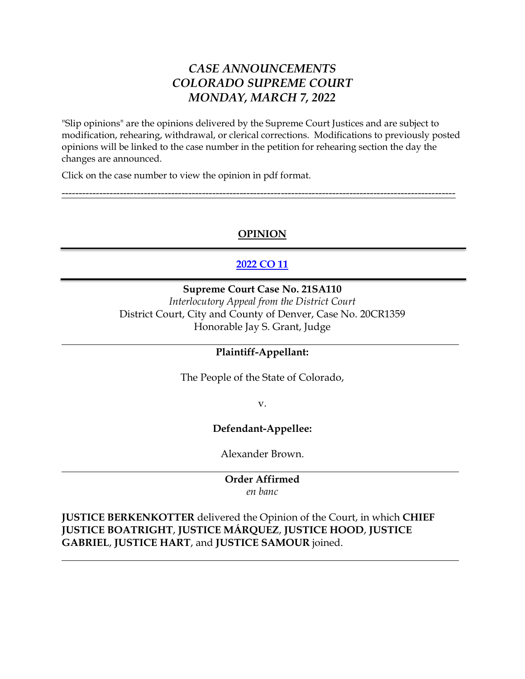# *CASE ANNOUNCEMENTS COLORADO SUPREME COURT MONDAY, MARCH 7, 2022*

"Slip opinions" are the opinions delivered by the Supreme Court Justices and are subject to modification, rehearing, withdrawal, or clerical corrections. Modifications to previously posted opinions will be linked to the case number in the petition for rehearing section the day the changes are announced.

Click on the case number to view the opinion in pdf format.

# **OPINION**

-------------------------------------------------------------------------------------------------------------------

# **[2022 CO 11](https://www.courts.state.co.us/userfiles/file/Court_Probation/Supreme_Court/Opinions/2021/21SA110.pdf)**

#### **Supreme Court Case No. 21SA110**

*Interlocutory Appeal from the District Court* District Court, City and County of Denver, Case No. 20CR1359 Honorable Jay S. Grant, Judge

## **Plaintiff-Appellant:**

The People of the State of Colorado,

v.

## **Defendant-Appellee:**

Alexander Brown.

**Order Affirmed** *en banc*

**JUSTICE BERKENKOTTER** delivered the Opinion of the Court, in which **CHIEF JUSTICE BOATRIGHT**, **JUSTICE MÁRQUEZ**, **JUSTICE HOOD**, **JUSTICE GABRIEL**, **JUSTICE HART**, and **JUSTICE SAMOUR** joined.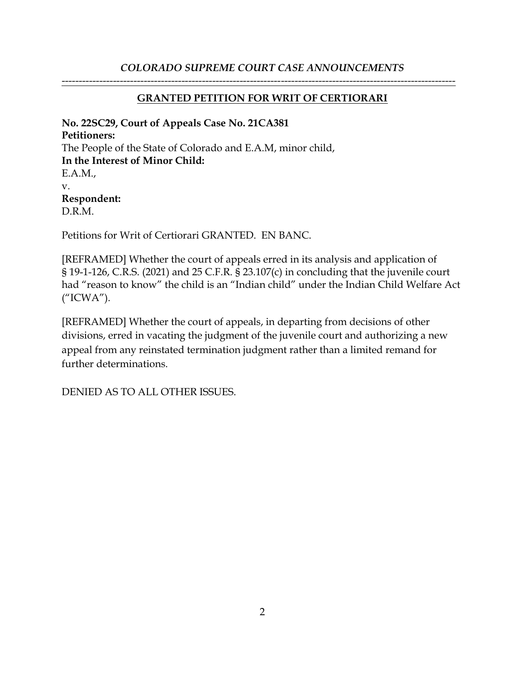## *COLORADO SUPREME COURT CASE ANNOUNCEMENTS*

## **GRANTED PETITION FOR WRIT OF CERTIORARI**

-------------------------------------------------------------------------------------------------------------------

**No. 22SC29, Court of Appeals Case No. 21CA381 Petitioners:** The People of the State of Colorado and E.A.M, minor child, **In the Interest of Minor Child:** E.A.M., v. **Respondent:** D.R.M.

Petitions for Writ of Certiorari GRANTED. EN BANC.

[REFRAMED] Whether the court of appeals erred in its analysis and application of § 19-1-126, C.R.S. (2021) and 25 C.F.R. § 23.107(c) in concluding that the juvenile court had "reason to know" the child is an "Indian child" under the Indian Child Welfare Act ("ICWA").

[REFRAMED] Whether the court of appeals, in departing from decisions of other divisions, erred in vacating the judgment of the juvenile court and authorizing a new appeal from any reinstated termination judgment rather than a limited remand for further determinations.

DENIED AS TO ALL OTHER ISSUES.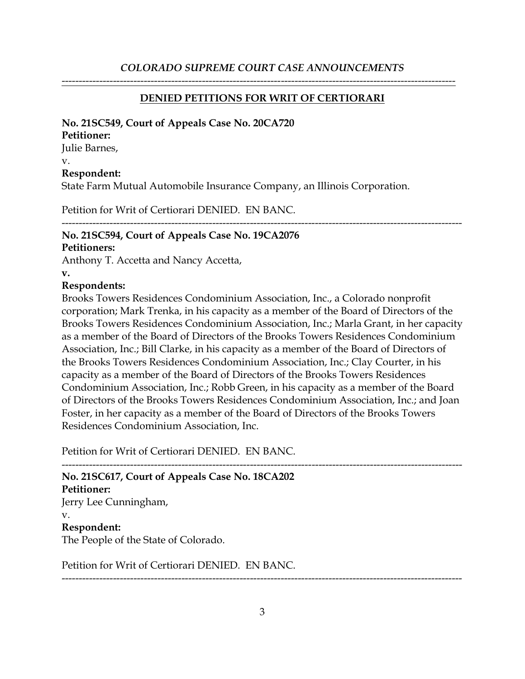#### **DENIED PETITIONS FOR WRIT OF CERTIORARI**

-------------------------------------------------------------------------------------------------------------------

#### **No. 21SC549, Court of Appeals Case No. 20CA720**

#### **Petitioner:**

Julie Barnes,

v.

#### **Respondent:**

State Farm Mutual Automobile Insurance Company, an Illinois Corporation.

Petition for Writ of Certiorari DENIED. EN BANC.

#### --------------------------------------------------------------------------------------------------------------------- **No. 21SC594, Court of Appeals Case No. 19CA2076**

#### **Petitioners:**

Anthony T. Accetta and Nancy Accetta,

**v.**

## **Respondents:**

Brooks Towers Residences Condominium Association, Inc., a Colorado nonprofit corporation; Mark Trenka, in his capacity as a member of the Board of Directors of the Brooks Towers Residences Condominium Association, Inc.; Marla Grant, in her capacity as a member of the Board of Directors of the Brooks Towers Residences Condominium Association, Inc.; Bill Clarke, in his capacity as a member of the Board of Directors of the Brooks Towers Residences Condominium Association, Inc.; Clay Courter, in his capacity as a member of the Board of Directors of the Brooks Towers Residences Condominium Association, Inc.; Robb Green, in his capacity as a member of the Board of Directors of the Brooks Towers Residences Condominium Association, Inc.; and Joan Foster, in her capacity as a member of the Board of Directors of the Brooks Towers Residences Condominium Association, Inc.

Petition for Writ of Certiorari DENIED. EN BANC.

--------------------------------------------------------------------------------------------------------------------- **No. 21SC617, Court of Appeals Case No. 18CA202 Petitioner:** Jerry Lee Cunningham, v. **Respondent:** The People of the State of Colorado.

Petition for Writ of Certiorari DENIED. EN BANC.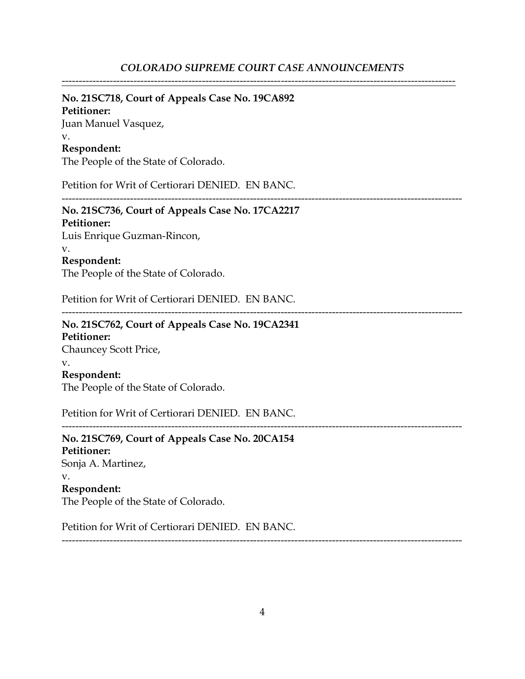-------------------------------------------------------------------------------------------------------------------

#### **No. 21SC718, Court of Appeals Case No. 19CA892**

**Petitioner:**

Juan Manuel Vasquez, v.

## **Respondent:**

The People of the State of Colorado.

Petition for Writ of Certiorari DENIED. EN BANC.

---------------------------------------------------------------------------------------------------------------------

---------------------------------------------------------------------------------------------------------------------

#### **No. 21SC736, Court of Appeals Case No. 17CA2217 Petitioner:** Luis Enrique Guzman-Rincon, v.

# **Respondent:**

The People of the State of Colorado.

Petition for Writ of Certiorari DENIED. EN BANC.

# **No. 21SC762, Court of Appeals Case No. 19CA2341 Petitioner:**

Chauncey Scott Price, v. **Respondent:**

The People of the State of Colorado.

Petition for Writ of Certiorari DENIED. EN BANC.

# **No. 21SC769, Court of Appeals Case No. 20CA154 Petitioner:** Sonja A. Martinez, v. **Respondent:** The People of the State of Colorado.

Petition for Writ of Certiorari DENIED. EN BANC.

---------------------------------------------------------------------------------------------------------------------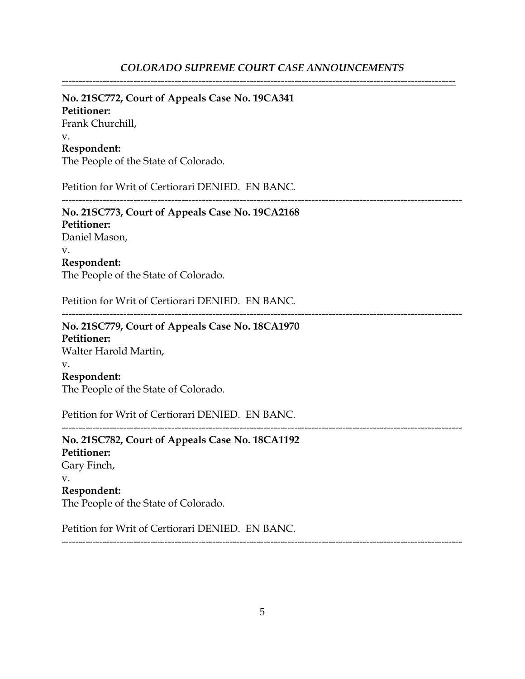-------------------------------------------------------------------------------------------------------------------

## **No. 21SC772, Court of Appeals Case No. 19CA341**

**Petitioner:** Frank Churchill, v. **Respondent:**

The People of the State of Colorado.

Petition for Writ of Certiorari DENIED. EN BANC.

--------------------------------------------------------------------------------------------------------------------- **No. 21SC773, Court of Appeals Case No. 19CA2168 Petitioner:** Daniel Mason, v. **Respondent:**

The People of the State of Colorado.

Petition for Writ of Certiorari DENIED. EN BANC.

---------------------------------------------------------------------------------------------------------------------

---------------------------------------------------------------------------------------------------------------------

## **No. 21SC779, Court of Appeals Case No. 18CA1970 Petitioner:** Walter Harold Martin, v. **Respondent:** The People of the State of Colorado.

Petition for Writ of Certiorari DENIED. EN BANC.

**No. 21SC782, Court of Appeals Case No. 18CA1192 Petitioner:** Gary Finch, v. **Respondent:** The People of the State of Colorado.

Petition for Writ of Certiorari DENIED. EN BANC.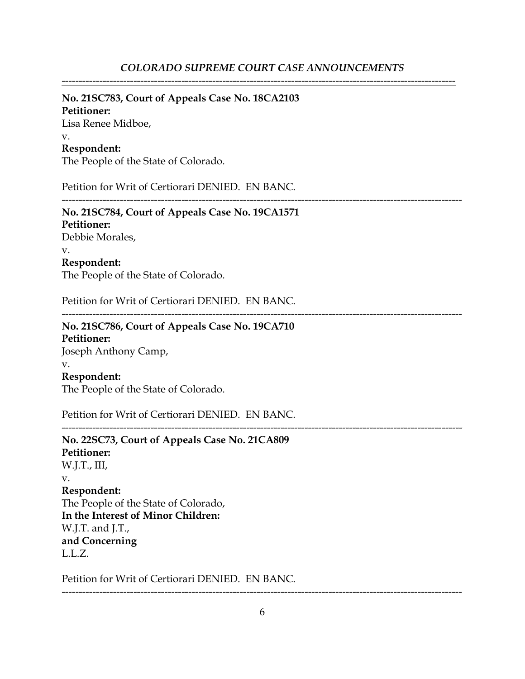-------------------------------------------------------------------------------------------------------------------

#### **No. 21SC783, Court of Appeals Case No. 18CA2103**

**Petitioner:** Lisa Renee Midboe, v. **Respondent:**

The People of the State of Colorado.

Petition for Writ of Certiorari DENIED. EN BANC.

---------------------------------------------------------------------------------------------------------------------

**No. 21SC784, Court of Appeals Case No. 19CA1571 Petitioner:** Debbie Morales, v. **Respondent:** The People of the State of Colorado.

Petition for Writ of Certiorari DENIED. EN BANC.

---------------------------------------------------------------------------------------------------------------------

# **No. 21SC786, Court of Appeals Case No. 19CA710 Petitioner:**

Joseph Anthony Camp, v.

# **Respondent:**

The People of the State of Colorado.

Petition for Writ of Certiorari DENIED. EN BANC.

**No. 22SC73, Court of Appeals Case No. 21CA809 Petitioner:** W.J.T., III, v. **Respondent:** The People of the State of Colorado, **In the Interest of Minor Children:** W.J.T. and J.T., **and Concerning** L.L.Z.

Petition for Writ of Certiorari DENIED. EN BANC.